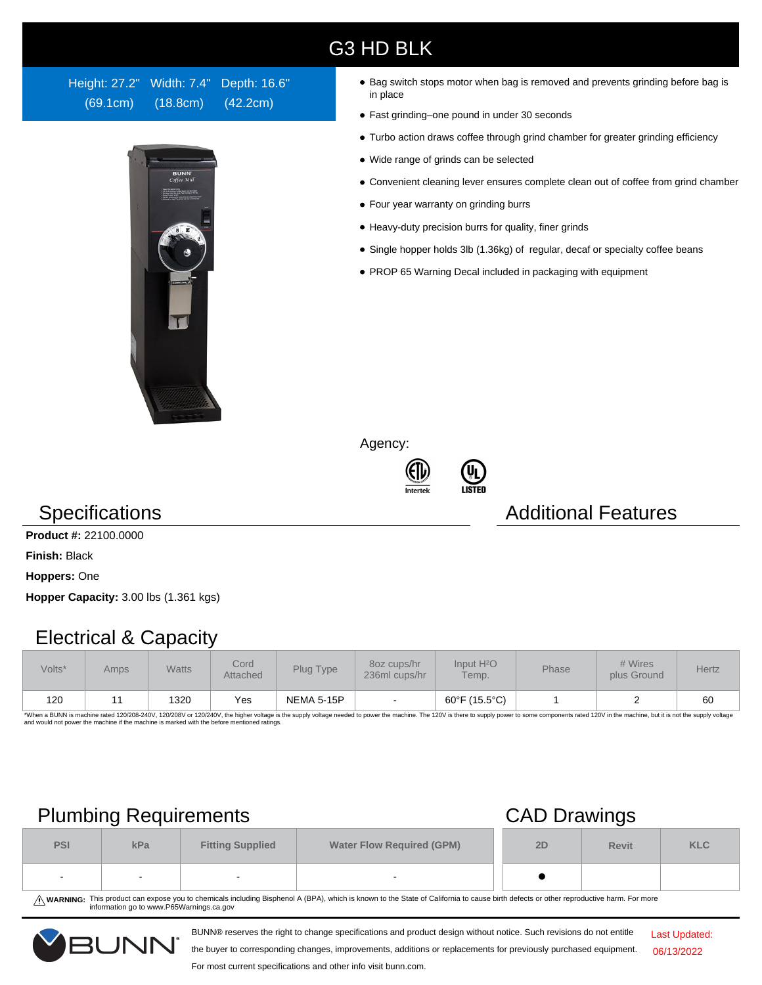# G3 HD BLK

Height: 27.2" Width: 7.4" Depth: 16.6" (69.1cm) (18.8cm) (42.2cm)



- Bag switch stops motor when bag is removed and prevents grinding before bag is in place
- Fast grinding–one pound in under 30 seconds
- Turbo action draws coffee through grind chamber for greater grinding efficiency
- Wide range of grinds can be selected
- Convenient cleaning lever ensures complete clean out of coffee from grind chamber
- Four year warranty on grinding burrs
- Heavy-duty precision burrs for quality, finer grinds
- Single hopper holds 3lb (1.36kg) of regular, decaf or specialty coffee beans
- PROP 65 Warning Decal included in packaging with equipment

Agency:





# **Specifications Additional Features**

**Product #:** 22100.0000

**Finish:** Black

**Hoppers:** One

**Hopper Capacity:** 3.00 lbs (1.361 kgs)

# Electrical & Capacity

| Volts* | Amps | <b>Watts</b> | Cord<br>Attached | Plug Type         | 80z cups/hr<br>236ml cups/hr | Input H <sup>2</sup> O<br>Temp. | Phase | # Wires<br>plus Ground | Hertz |
|--------|------|--------------|------------------|-------------------|------------------------------|---------------------------------|-------|------------------------|-------|
| 120    |      | 1320         | Yes              | <b>NEMA 5-15P</b> |                              | 60°F (15.5°C)                   |       |                        | 60    |

\*When a BUNN is machine rated 120/208-240V, 120/208V or 120/240V, the higher voltage is the supply voltage needed to power the machine. The 120V is there to supply power to some components rated 120V in the machine, but it

# Plumbing Requirements CAD Drawings

| <b>PSI</b> | kPa | <b>Fitting Supplied</b> | <b>Water Flow Required (GPM)</b> |  | <b>Revit</b> | <b>KLC</b> |
|------------|-----|-------------------------|----------------------------------|--|--------------|------------|
|            |     |                         |                                  |  |              |            |

WARNING: This product can expose you to chemicals including Bisphenol A (BPA), which is known to the State of California to cause birth defects or other reproductive harm. For more<br>information go to www.P65Warnings.ca.gov

BUNN® reserves the right to change specifications and product design without notice. Such revisions do not entitle



the buyer to corresponding changes, improvements, additions or replacements for previously purchased equipment.

### For most current specifications and other info visit bunn.com.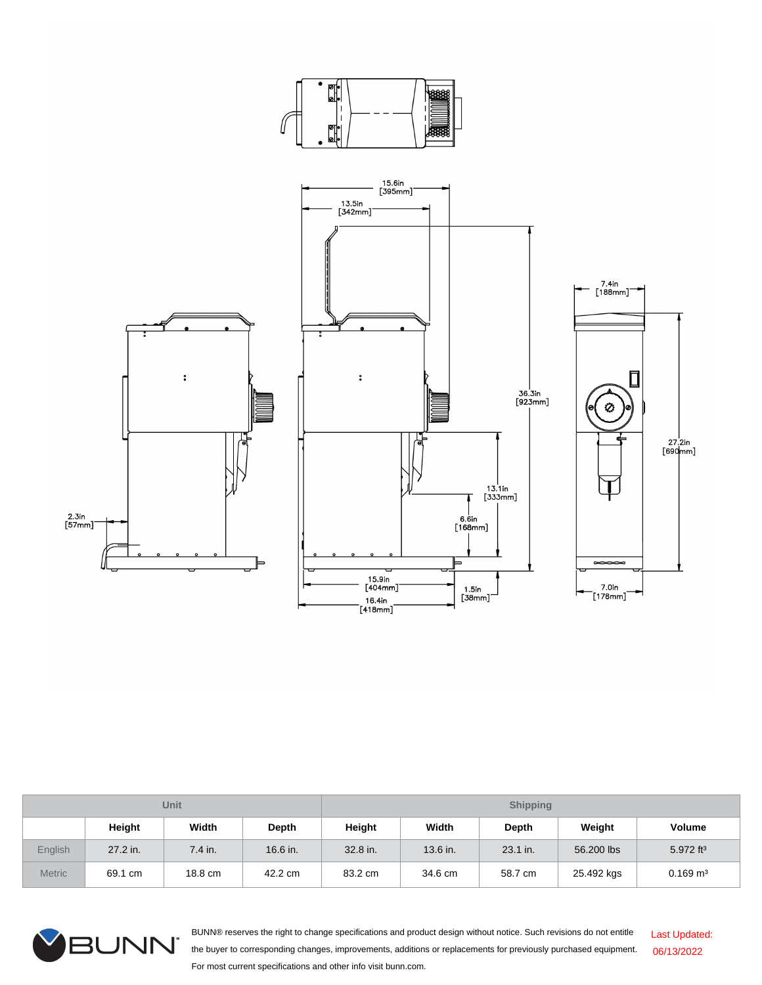

| Unit          |          |           |          | <b>Shipping</b> |          |          |            |                        |  |
|---------------|----------|-----------|----------|-----------------|----------|----------|------------|------------------------|--|
|               | Height   | Width     | Depth    | Height          | Width    | Depth    | Weight     | <b>Volume</b>          |  |
| English       | 27.2 in. | $7.4$ in. | 16.6 in. | 32.8 in.        | 13.6 in. | 23.1 in. | 56,200 lbs | 5.972 $ft^3$           |  |
| <b>Metric</b> | 69.1 cm  | 18.8 cm   | 42.2 cm  | 83.2 cm         | 34.6 cm  | 58.7 cm  | 25.492 kgs | $0.169$ m <sup>3</sup> |  |



BUNN® reserves the right to change specifications and product design without notice. Such revisions do not entitle the buyer to corresponding changes, improvements, additions or replacements for previously purchased equipment. For most current specifications and other info visit bunn.com. Last Updated: 06/13/2022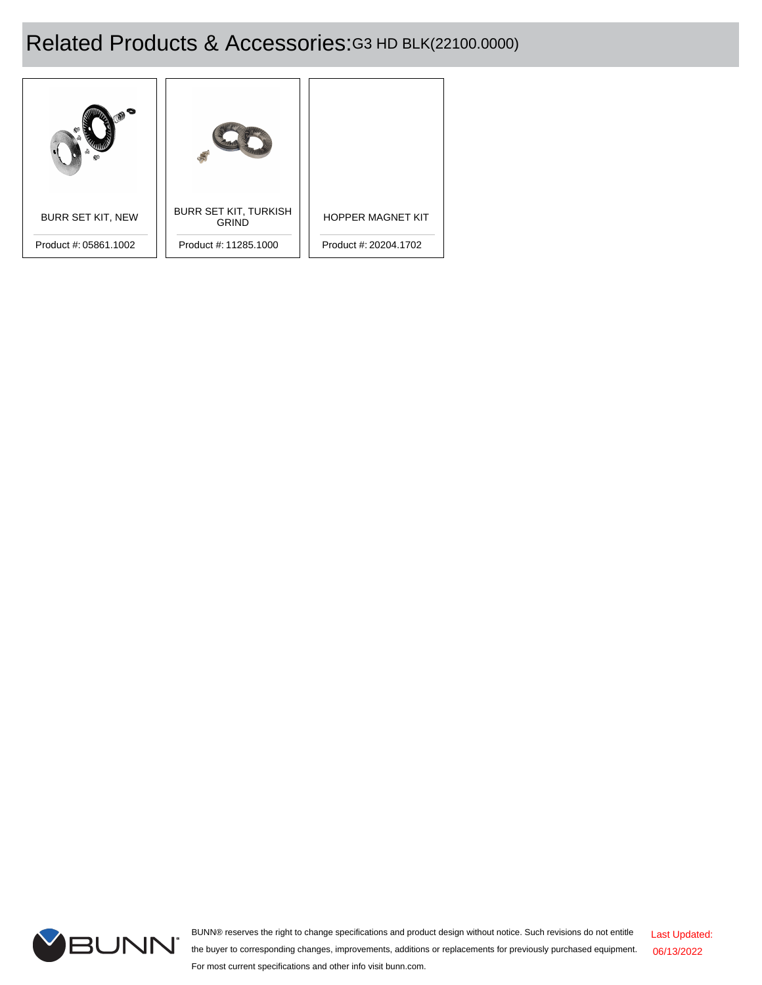# Related Products & Accessories:G3 HD BLK(22100.0000)